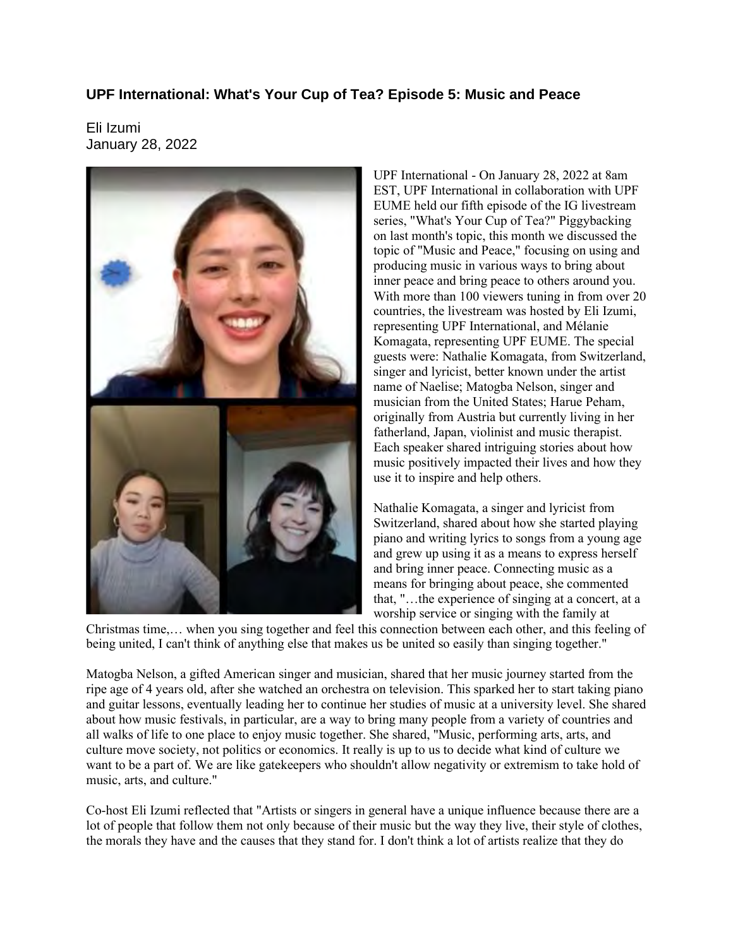## **UPF International: What's Your Cup of Tea? Episode 5: Music and Peace**

Eli Izumi January 28, 2022



UPF International - On January 28, 2022 at 8am EST, UPF International in collaboration with UPF EUME held our fifth episode of the IG livestream series, "What's Your Cup of Tea?" Piggybacking on last month's topic, this month we discussed the topic of "Music and Peace," focusing on using and producing music in various ways to bring about inner peace and bring peace to others around you. With more than 100 viewers tuning in from over 20 countries, the livestream was hosted by Eli Izumi, representing UPF International, and Mélanie Komagata, representing UPF EUME. The special guests were: Nathalie Komagata, from Switzerland, singer and lyricist, better known under the artist name of Naelise; Matogba Nelson, singer and musician from the United States; Harue Peham, originally from Austria but currently living in her fatherland, Japan, violinist and music therapist. Each speaker shared intriguing stories about how music positively impacted their lives and how they use it to inspire and help others.

Nathalie Komagata, a singer and lyricist from Switzerland, shared about how she started playing piano and writing lyrics to songs from a young age and grew up using it as a means to express herself and bring inner peace. Connecting music as a means for bringing about peace, she commented that, "…the experience of singing at a concert, at a worship service or singing with the family at

Christmas time,… when you sing together and feel this connection between each other, and this feeling of being united, I can't think of anything else that makes us be united so easily than singing together."

Matogba Nelson, a gifted American singer and musician, shared that her music journey started from the ripe age of 4 years old, after she watched an orchestra on television. This sparked her to start taking piano and guitar lessons, eventually leading her to continue her studies of music at a university level. She shared about how music festivals, in particular, are a way to bring many people from a variety of countries and all walks of life to one place to enjoy music together. She shared, "Music, performing arts, arts, and culture move society, not politics or economics. It really is up to us to decide what kind of culture we want to be a part of. We are like gatekeepers who shouldn't allow negativity or extremism to take hold of music, arts, and culture."

Co-host Eli Izumi reflected that "Artists or singers in general have a unique influence because there are a lot of people that follow them not only because of their music but the way they live, their style of clothes, the morals they have and the causes that they stand for. I don't think a lot of artists realize that they do